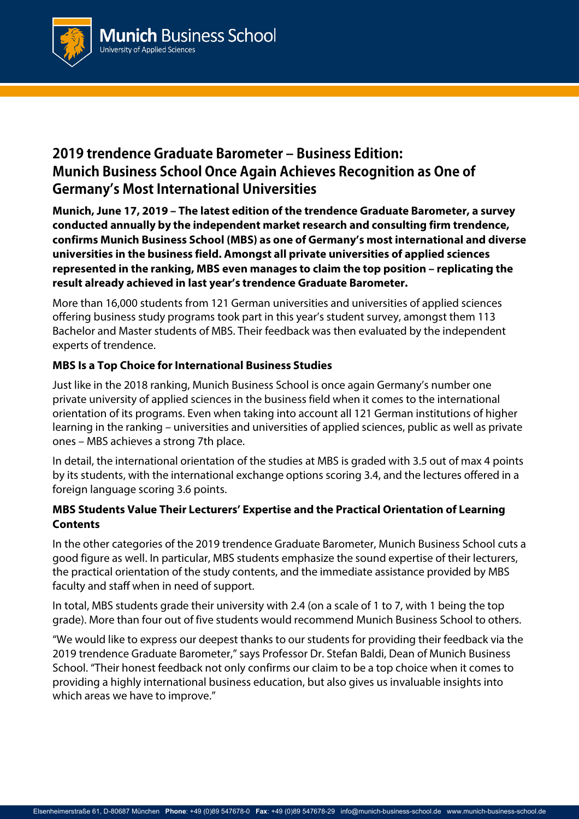

# **2019 trendence Graduate Barometer – Business Edition: Munich Business School Once Again Achieves Recognition as One of Germany's Most International Universities**

**Munich, June 17, 2019 – The latest edition of the trendence Graduate Barometer, a survey conducted annually by the independent market research and consulting firm trendence, confirms Munich Business School (MBS) as one of Germany's most international and diverse universities in the business field. Amongst all private universities of applied sciences represented in the ranking, MBS even manages to claim the top position – replicating the result already achieved in last year's trendence Graduate Barometer.**

More than 16,000 students from 121 German universities and universities of applied sciences offering business study programs took part in this year's student survey, amongst them 113 Bachelor and Master students of MBS. Their feedback was then evaluated by the independent experts of trendence.

# **MBS Is a Top Choice for International Business Studies**

Just like in the 2018 ranking, Munich Business School is once again Germany's number one private university of applied sciences in the business field when it comes to the international orientation of its programs. Even when taking into account all 121 German institutions of higher learning in the ranking – universities and universities of applied sciences, public as well as private ones – MBS achieves a strong 7th place.

In detail, the international orientation of the studies at MBS is graded with 3.5 out of max 4 points by its students, with the international exchange options scoring 3.4, and the lectures offered in a foreign language scoring 3.6 points.

# **MBS Students Value Their Lecturers' Expertise and the Practical Orientation of Learning Contents**

In the other categories of the 2019 trendence Graduate Barometer, Munich Business School cuts a good figure as well. In particular, MBS students emphasize the sound expertise of their lecturers, the practical orientation of the study contents, and the immediate assistance provided by MBS faculty and staff when in need of support.

In total, MBS students grade their university with 2.4 (on a scale of 1 to 7, with 1 being the top grade). More than four out of five students would recommend Munich Business School to others.

"We would like to express our deepest thanks to our students for providing their feedback via the 2019 trendence Graduate Barometer," says Professor Dr. Stefan Baldi, Dean of Munich Business School. "Their honest feedback not only confirms our claim to be a top choice when it comes to providing a highly international business education, but also gives us invaluable insights into which areas we have to improve."